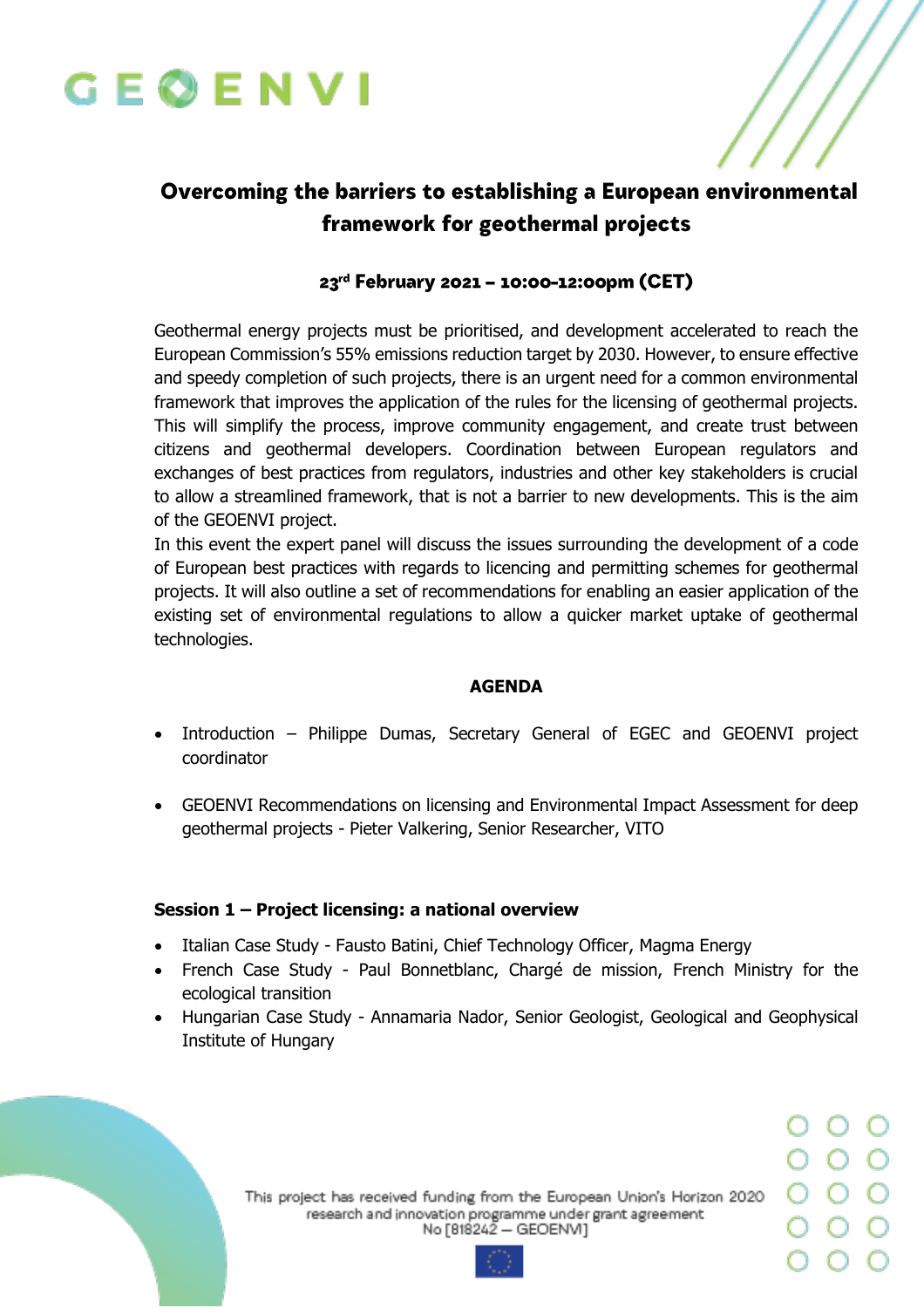



# Overcoming the barriers to establishing a European environmental framework for geothermal projects

## $23<sup>rd</sup>$  February 2021 - 10:00-12:00pm (CET)

Geothermal energy projects must be prioritised, and development accelerated to reach the European Commission's 55% emissions reduction target by 2030. However, to ensure effective and speedy completion of such projects, there is an urgent need for a common environmental framework that improves the application of the rules for the licensing of geothermal projects. This will simplify the process, improve community engagement, and create trust between citizens and geothermal developers. Coordination between European regulators and exchanges of best practices from regulators, industries and other key stakeholders is crucial to allow a streamlined framework, that is not a barrier to new developments. This is the aim of the GEOENVI project.

In this event the expert panel will discuss the issues surrounding the development of a code of European best practices with regards to licencing and permitting schemes for geothermal projects. It will also outline a set of recommendations for enabling an easier application of the existing set of environmental regulations to allow a quicker market uptake of geothermal technologies.

#### **AGENDA**

- Introduction Philippe Dumas, Secretary General of EGEC and GEOENVI project coordinator
- GEOENVI Recommendations on licensing and Environmental Impact Assessment for deep geothermal projects - Pieter Valkering, Senior Researcher, VITO

#### **Session 1 – Project licensing: a national overview**

- Italian Case Study Fausto Batini, Chief Technology Officer, Magma Energy
- French Case Study Paul Bonnetblanc, Chargé de mission, French Ministry for the ecological transition
- Hungarian Case Study Annamaria Nador, Senior Geologist, Geological and Geophysical Institute of Hungary

This project has received funding from the European Union's Horizon 2020 research and innovation programme under grant agreement No [818242 - GEOENVI]